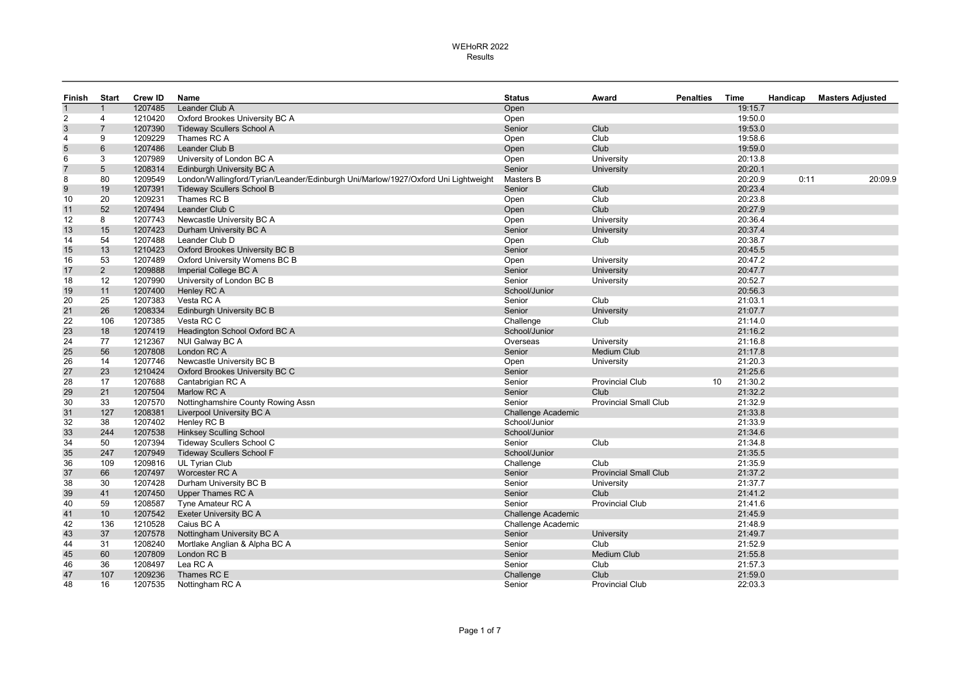| Finish         | Start          | <b>Crew ID</b> | Name                                                                               | <b>Status</b>                | Award                        | <b>Penalties</b> | Time               | Handicap | <b>Masters Adjusted</b> |
|----------------|----------------|----------------|------------------------------------------------------------------------------------|------------------------------|------------------------------|------------------|--------------------|----------|-------------------------|
| $\overline{1}$ |                | 1207485        | Leander Club A                                                                     | Open                         |                              |                  | 19:15.7            |          |                         |
| $\overline{2}$ | 4              | 1210420        | Oxford Brookes University BC A                                                     | Open                         |                              |                  | 19:50.0            |          |                         |
| $\sqrt{3}$     | $\overline{7}$ | 1207390        | <b>Tideway Scullers School A</b>                                                   | Senior                       | Club                         |                  | 19:53.0            |          |                         |
| $\overline{4}$ | 9              | 1209229        | Thames RC A                                                                        | Open                         | Club                         |                  | 19:58.6            |          |                         |
| 5              | 6              | 1207486        | Leander Club B                                                                     | Open                         | Club                         |                  | 19:59.0            |          |                         |
| 6              | 3              | 1207989        | University of London BC A                                                          | Open                         | University                   |                  | 20:13.8            |          |                         |
| $\overline{7}$ | 5              | 1208314        | <b>Edinburgh University BC A</b>                                                   | Senior                       | University                   |                  | 20:20.1            |          |                         |
| 8              | 80             | 1209549        | London/Wallingford/Tyrian/Leander/Edinburgh Uni/Marlow/1927/Oxford Uni Lightweight | Masters B                    |                              |                  | 20:20.9            | 0:11     | 20:09.9                 |
| 9              | 19             | 1207391        | <b>Tideway Scullers School B</b>                                                   | Senior                       | Club                         |                  | 20:23.4            |          |                         |
| 10             | 20             | 1209231        | Thames RC B                                                                        | Open                         | Club                         |                  | 20:23.8            |          |                         |
| 11             | 52             | 1207494        | Leander Club C                                                                     | Open                         | Club                         |                  | 20:27.9            |          |                         |
| 12             | 8              | 1207743        | Newcastle University BC A                                                          | Open                         | University                   |                  | 20:36.4            |          |                         |
| 13             | 15             | 1207423        | Durham University BC A                                                             | Senior                       | University                   |                  | 20:37.4            |          |                         |
| 14             | 54             | 1207488        | Leander Club D                                                                     | Open                         | Club                         |                  | 20:38.7            |          |                         |
| 15             | 13             | 1210423        | Oxford Brookes University BC B                                                     | Senior                       |                              |                  | 20:45.5            |          |                         |
| 16             | 53             | 1207489        | Oxford University Womens BC B                                                      | Open                         | University                   |                  | 20:47.2            |          |                         |
| 17             | $2^{\circ}$    | 1209888        | Imperial College BC A                                                              | Senior                       | University                   |                  | 20:47.7            |          |                         |
| 18             | 12             | 1207990        | University of London BC B                                                          | Senior                       | University                   |                  | 20:52.7            |          |                         |
| 19             | 11             | 1207400        | Henley RC A                                                                        | School/Junior                |                              |                  | 20:56.3            |          |                         |
| 20             | 25             | 1207383        | Vesta RC A                                                                         | Senior                       | Club                         |                  | 21:03.1            |          |                         |
| 21             | 26             | 1208334        | <b>Edinburgh University BC B</b>                                                   | Senior                       | University                   |                  | 21:07.7            |          |                         |
| 22             | 106            | 1207385        | Vesta RC C                                                                         | Challenge                    | Club                         |                  | 21:14.0            |          |                         |
| 23             | 18             | 1207419        | Headington School Oxford BC A                                                      | School/Junior                |                              |                  | 21:16.2            |          |                         |
| 24             | 77             | 1212367        | NUI Galway BC A                                                                    | Overseas                     | University                   |                  | 21:16.8            |          |                         |
| 25             | 56             | 1207808        | London RC A                                                                        | Senior                       | <b>Medium Club</b>           |                  | 21:17.8            |          |                         |
| 26             | 14             | 1207746        | Newcastle University BC B                                                          | Open                         | University                   |                  | 21:20.3            |          |                         |
| 27             | 23             | 1210424        | Oxford Brookes University BC C                                                     | Senior                       |                              |                  | 21:25.6            |          |                         |
| 28             | 17             | 1207688        | Cantabrigian RC A                                                                  | Senior                       | <b>Provincial Club</b>       | 10               | 21:30.2            |          |                         |
| 29             | 21             | 1207504        | Marlow RC A                                                                        | Senior                       | Club                         |                  | 21:32.2            |          |                         |
| 30             | 33             | 1207570        | Nottinghamshire County Rowing Assn                                                 | Senior                       | <b>Provincial Small Club</b> |                  | 21:32.9            |          |                         |
| 31             | 127            | 1208381        | Liverpool University BC A                                                          | <b>Challenge Academic</b>    |                              |                  | 21:33.8            |          |                         |
| 32             | 38             | 1207402        | Henley RC B                                                                        | School/Junior                |                              |                  | 21:33.9            |          |                         |
| 33             | 244            | 1207538        | <b>Hinksey Sculling School</b>                                                     | School/Junior                |                              |                  | 21:34.6            |          |                         |
| 34             | 50             | 1207394        | <b>Tideway Scullers School C</b>                                                   | Senior                       | Club                         |                  | 21:34.8            |          |                         |
| 35             | 247            | 1207949        | <b>Tideway Scullers School F</b>                                                   | School/Junior                |                              |                  | 21:35.5            |          |                         |
| 36             | 109            | 1209816        | <b>UL Tyrian Club</b>                                                              | Challenge                    | Club                         |                  | 21:35.9            |          |                         |
| 37             | 66             | 1207497        | Worcester RC A                                                                     | Senior                       | <b>Provincial Small Club</b> |                  | 21:37.2            |          |                         |
| 38             | 30             | 1207428        | Durham University BC B                                                             | Senior                       | University                   |                  | 21:37.7            |          |                         |
| 39             | 41             | 1207450        | Upper Thames RC A                                                                  | Senior                       | Club                         |                  | 21:41.2            |          |                         |
| 40             | 59             | 1208587        | Tyne Amateur RC A                                                                  | Senior                       | <b>Provincial Club</b>       |                  | 21:41.6            |          |                         |
| 41             | 10             | 1207542        | Exeter University BC A                                                             | <b>Challenge Academic</b>    |                              |                  | 21:45.9            |          |                         |
|                | 136            | 1210528        | Caius BC A                                                                         |                              |                              |                  |                    |          |                         |
| 42             | 37             | 1207578        |                                                                                    | Challenge Academic<br>Senior |                              |                  | 21:48.9<br>21:49.7 |          |                         |
| 43             |                | 1208240        | Nottingham University BC A                                                         |                              | University                   |                  | 21:52.9            |          |                         |
| 44             | 31             |                | Mortlake Anglian & Alpha BC A                                                      | Senior                       | Club                         |                  |                    |          |                         |
| 45             | 60             | 1207809        | London RC B                                                                        | Senior                       | <b>Medium Club</b>           |                  | 21:55.8            |          |                         |
| 46             | 36             | 1208497        | Lea RC A                                                                           | Senior                       | Club                         |                  | 21:57.3            |          |                         |
| 47             | 107            | 1209236        | Thames RC E                                                                        | Challenge                    | Club                         |                  | 21:59.0            |          |                         |
| 48             | 16             | 1207535        | Nottingham RC A                                                                    | Senior                       | <b>Provincial Club</b>       |                  | 22:03.3            |          |                         |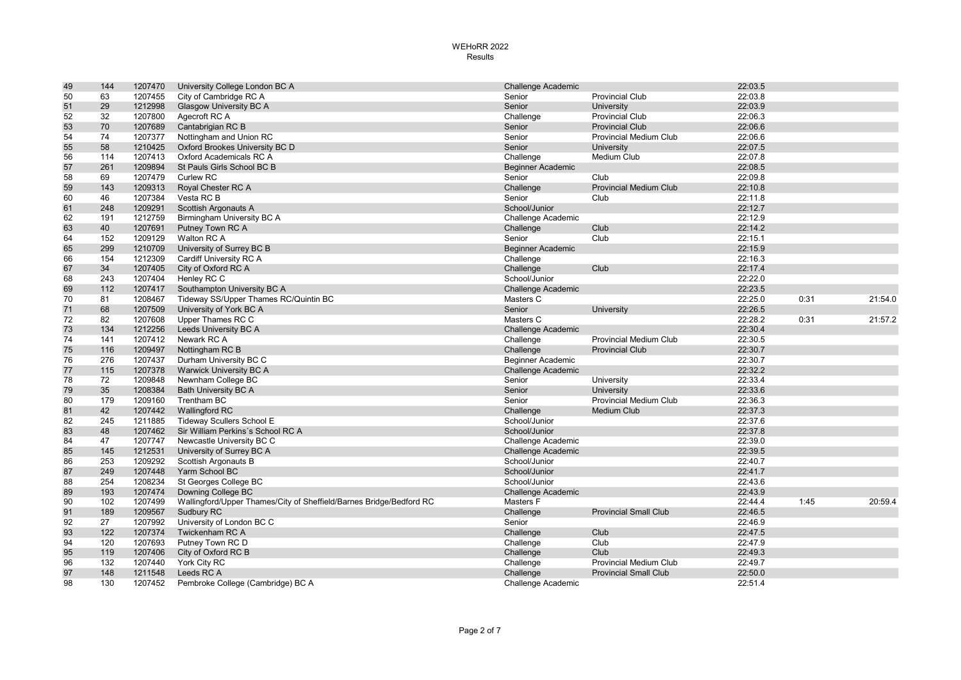| 49 | 144 | 1207470 | University College London BC A                                      | <b>Challenge Academic</b> |                               | 22:03.5 |      |         |
|----|-----|---------|---------------------------------------------------------------------|---------------------------|-------------------------------|---------|------|---------|
| 50 | 63  | 1207455 | City of Cambridge RC A                                              | Senior                    | <b>Provincial Club</b>        | 22:03.8 |      |         |
| 51 | 29  | 1212998 | <b>Glasgow University BC A</b>                                      | Senior                    | University                    | 22:03.9 |      |         |
| 52 | 32  | 1207800 | Agecroft RC A                                                       | Challenge                 | <b>Provincial Club</b>        | 22:06.3 |      |         |
| 53 | 70  | 1207689 | Cantabrigian RC B                                                   | Senior                    | <b>Provincial Club</b>        | 22:06.6 |      |         |
| 54 | 74  | 1207377 | Nottingham and Union RC                                             | Senior                    | <b>Provincial Medium Club</b> | 22:06.6 |      |         |
| 55 | 58  | 1210425 | Oxford Brookes University BC D                                      | Senior                    | University                    | 22:07.5 |      |         |
| 56 | 114 | 1207413 | Oxford Academicals RC A                                             | Challenge                 | Medium Club                   | 22:07.8 |      |         |
| 57 | 261 | 1209894 | St Pauls Girls School BC B                                          | <b>Beginner Academic</b>  |                               | 22:08.5 |      |         |
| 58 | 69  | 1207479 | <b>Curlew RC</b>                                                    | Senior                    | Club                          | 22:09.8 |      |         |
| 59 | 143 | 1209313 | Royal Chester RC A                                                  | Challenge                 | <b>Provincial Medium Club</b> | 22:10.8 |      |         |
| 60 | 46  | 1207384 | Vesta RC B                                                          | Senior                    | Club                          | 22:11.8 |      |         |
| 61 | 248 | 1209291 | Scottish Argonauts A                                                | School/Junior             |                               | 22:12.7 |      |         |
| 62 | 191 | 1212759 | Birmingham University BC A                                          | Challenge Academic        |                               | 22:12.9 |      |         |
| 63 | 40  | 1207691 | Putney Town RC A                                                    | Challenge                 | Club                          | 22:14.2 |      |         |
| 64 | 152 | 1209129 | Walton RC A                                                         | Senior                    | Club                          | 22:15.1 |      |         |
| 65 | 299 | 1210709 | University of Surrey BC B                                           | <b>Beginner Academic</b>  |                               | 22:15.9 |      |         |
| 66 | 154 | 1212309 | Cardiff University RC A                                             | Challenge                 |                               | 22:16.3 |      |         |
| 67 | 34  | 1207405 | City of Oxford RC A                                                 | Challenge                 | Club                          | 22:17.4 |      |         |
| 68 | 243 | 1207404 | Henley RC C                                                         | School/Junior             |                               | 22:22.0 |      |         |
| 69 | 112 | 1207417 | Southampton University BC A                                         | <b>Challenge Academic</b> |                               | 22:23.5 |      |         |
| 70 | 81  | 1208467 | Tideway SS/Upper Thames RC/Quintin BC                               | Masters C                 |                               | 22:25.0 | 0:31 | 21:54.0 |
| 71 | 68  | 1207509 | University of York BC A                                             | Senior                    | University                    | 22:26.5 |      |         |
| 72 | 82  | 1207608 | Upper Thames RC C                                                   | Masters C                 |                               | 22:28.2 | 0:31 | 21:57.2 |
| 73 | 134 | 1212256 | Leeds University BC A                                               | <b>Challenge Academic</b> |                               | 22:30.4 |      |         |
| 74 | 141 | 1207412 | Newark RC A                                                         | Challenge                 | <b>Provincial Medium Club</b> | 22:30.5 |      |         |
| 75 | 116 | 1209497 | Nottingham RC B                                                     | Challenge                 | <b>Provincial Club</b>        | 22:30.7 |      |         |
| 76 | 276 | 1207437 | Durham University BC C                                              | <b>Beginner Academic</b>  |                               | 22:30.7 |      |         |
| 77 | 115 | 1207378 | <b>Warwick University BC A</b>                                      | <b>Challenge Academic</b> |                               | 22:32.2 |      |         |
| 78 | 72  | 1209848 | Newnham College BC                                                  | Senior                    | University                    | 22:33.4 |      |         |
| 79 | 35  | 1208384 | <b>Bath University BC A</b>                                         | Senior                    | University                    | 22:33.6 |      |         |
| 80 | 179 | 1209160 | Trentham BC                                                         | Senior                    | <b>Provincial Medium Club</b> | 22:36.3 |      |         |
| 81 | 42  | 1207442 | <b>Wallingford RC</b>                                               | Challenge                 | <b>Medium Club</b>            | 22:37.3 |      |         |
| 82 | 245 | 1211885 | Tideway Scullers School E                                           | School/Junior             |                               | 22:37.6 |      |         |
| 83 | 48  | 1207462 | Sir William Perkins's School RC A                                   | School/Junior             |                               | 22:37.8 |      |         |
| 84 | 47  | 1207747 | Newcastle University BC C                                           | Challenge Academic        |                               | 22:39.0 |      |         |
| 85 | 145 | 1212531 | University of Surrey BC A                                           | <b>Challenge Academic</b> |                               | 22:39.5 |      |         |
| 86 | 253 | 1209292 | Scottish Argonauts B                                                | School/Junior             |                               | 22:40.7 |      |         |
| 87 | 249 | 1207448 | Yarm School BC                                                      | School/Junior             |                               | 22:41.7 |      |         |
| 88 | 254 | 1208234 | St Georges College BC                                               | School/Junior             |                               | 22:43.6 |      |         |
| 89 | 193 | 1207474 | Downing College BC                                                  | <b>Challenge Academic</b> |                               | 22:43.9 |      |         |
| 90 | 102 | 1207499 | Wallingford/Upper Thames/City of Sheffield/Barnes Bridge/Bedford RC | Masters F                 |                               | 22:44.4 | 1:45 | 20:59.4 |
| 91 | 189 | 1209567 | Sudbury RC                                                          | Challenge                 | <b>Provincial Small Club</b>  | 22:46.5 |      |         |
| 92 | 27  | 1207992 | University of London BC C                                           | Senior                    |                               | 22:46.9 |      |         |
| 93 | 122 | 1207374 | Twickenham RC A                                                     | Challenge                 | Club                          | 22:47.5 |      |         |
| 94 | 120 | 1207693 | Putney Town RC D                                                    | Challenge                 | Club                          | 22:47.9 |      |         |
| 95 | 119 | 1207406 | City of Oxford RC B                                                 | Challenge                 | Club                          | 22:49.3 |      |         |
| 96 | 132 | 1207440 | York City RC                                                        | Challenge                 | <b>Provincial Medium Club</b> | 22:49.7 |      |         |
| 97 | 148 | 1211548 | Leeds RC A                                                          | Challenge                 | <b>Provincial Small Club</b>  | 22:50.0 |      |         |
| 98 | 130 | 1207452 | Pembroke College (Cambridge) BC A                                   | Challenge Academic        |                               | 22:51.4 |      |         |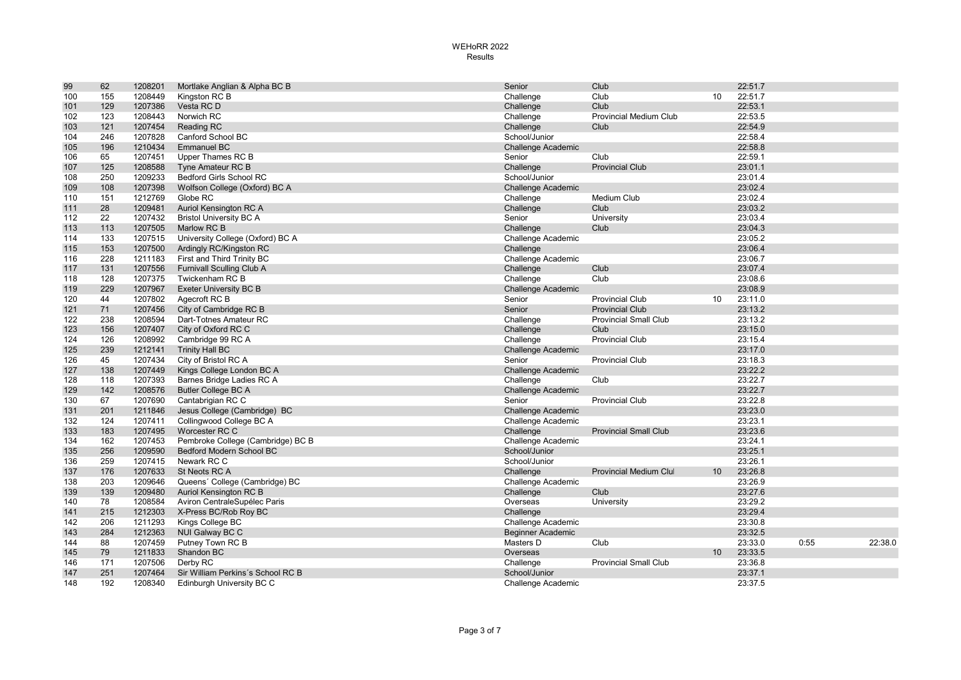| 99  | 62  | 1208201 | Mortlake Anglian & Alpha BC B     | Senior                    | Club                          |    | 22:51.7 |      |         |
|-----|-----|---------|-----------------------------------|---------------------------|-------------------------------|----|---------|------|---------|
| 100 | 155 | 1208449 | Kingston RC B                     | Challenge                 | Club                          | 10 | 22:51.7 |      |         |
| 101 | 129 | 1207386 | Vesta RC D                        | Challenge                 | Club                          |    | 22:53.1 |      |         |
| 102 | 123 | 1208443 | Norwich RC                        | Challenge                 | <b>Provincial Medium Club</b> |    | 22:53.5 |      |         |
| 103 | 121 | 1207454 | Reading RC                        | Challenge                 | Club                          |    | 22:54.9 |      |         |
| 104 | 246 | 1207828 | Canford School BC                 | School/Junior             |                               |    | 22:58.4 |      |         |
| 105 | 196 | 1210434 | <b>Emmanuel BC</b>                | <b>Challenge Academic</b> |                               |    | 22:58.8 |      |         |
| 106 | 65  | 1207451 | Upper Thames RC B                 | Senior                    | Club                          |    | 22:59.1 |      |         |
| 107 | 125 | 1208588 | Tyne Amateur RC B                 | Challenge                 | <b>Provincial Club</b>        |    | 23:01.1 |      |         |
| 108 | 250 | 1209233 | <b>Bedford Girls School RC</b>    | School/Junior             |                               |    | 23:01.4 |      |         |
| 109 | 108 | 1207398 | Wolfson College (Oxford) BC A     | <b>Challenge Academic</b> |                               |    | 23:02.4 |      |         |
| 110 | 151 | 1212769 | Globe RC                          | Challenge                 | Medium Club                   |    | 23:02.4 |      |         |
| 111 | 28  | 1209481 | Auriol Kensington RC A            | Challenge                 | Club                          |    | 23:03.2 |      |         |
| 112 | 22  | 1207432 | <b>Bristol University BC A</b>    | Senior                    | University                    |    | 23:03.4 |      |         |
| 113 | 113 | 1207505 | Marlow RC B                       | Challenge                 | Club                          |    | 23:04.3 |      |         |
| 114 | 133 | 1207515 | University College (Oxford) BC A  | Challenge Academic        |                               |    | 23:05.2 |      |         |
| 115 | 153 | 1207500 | Ardingly RC/Kingston RC           | Challenge                 |                               |    | 23:06.4 |      |         |
| 116 | 228 | 1211183 | First and Third Trinity BC        | Challenge Academic        |                               |    | 23:06.7 |      |         |
| 117 | 131 | 1207556 | <b>Furnivall Sculling Club A</b>  | Challenge                 | Club                          |    | 23:07.4 |      |         |
| 118 | 128 | 1207375 | Twickenham RC B                   | Challenge                 | Club                          |    | 23:08.6 |      |         |
| 119 | 229 | 1207967 | <b>Exeter University BC B</b>     | <b>Challenge Academic</b> |                               |    | 23:08.9 |      |         |
| 120 | 44  | 1207802 | Agecroft RC B                     | Senior                    | <b>Provincial Club</b>        | 10 | 23:11.0 |      |         |
| 121 | 71  | 1207456 | City of Cambridge RC B            | Senior                    | <b>Provincial Club</b>        |    | 23:13.2 |      |         |
| 122 | 238 | 1208594 | Dart-Totnes Amateur RC            | Challenge                 | <b>Provincial Small Club</b>  |    | 23:13.2 |      |         |
| 123 | 156 | 1207407 | City of Oxford RC C               | Challenge                 | Club                          |    | 23:15.0 |      |         |
| 124 | 126 | 1208992 | Cambridge 99 RC A                 | Challenge                 | <b>Provincial Club</b>        |    | 23:15.4 |      |         |
| 125 | 239 | 1212141 | <b>Trinity Hall BC</b>            | <b>Challenge Academic</b> |                               |    | 23:17.0 |      |         |
| 126 | 45  | 1207434 | City of Bristol RC A              | Senior                    | <b>Provincial Club</b>        |    | 23:18.3 |      |         |
| 127 | 138 | 1207449 | Kings College London BC A         | <b>Challenge Academic</b> |                               |    | 23:22.2 |      |         |
| 128 | 118 | 1207393 | Barnes Bridge Ladies RC A         | Challenge                 | Club                          |    | 23:22.7 |      |         |
| 129 | 142 | 1208576 | <b>Butler College BC A</b>        | <b>Challenge Academic</b> |                               |    | 23:22.7 |      |         |
| 130 | 67  | 1207690 | Cantabrigian RC C                 | Senior                    | <b>Provincial Club</b>        |    | 23:22.8 |      |         |
| 131 | 201 | 1211846 | Jesus College (Cambridge) BC      | Challenge Academic        |                               |    | 23:23.0 |      |         |
| 132 | 124 | 1207411 | Collingwood College BC A          | Challenge Academic        |                               |    | 23:23.1 |      |         |
| 133 | 183 | 1207495 | Worcester RC C                    | Challenge                 | <b>Provincial Small Club</b>  |    | 23:23.6 |      |         |
| 134 | 162 | 1207453 | Pembroke College (Cambridge) BC B | Challenge Academic        |                               |    | 23:24.1 |      |         |
| 135 | 256 | 1209590 | <b>Bedford Modern School BC</b>   | School/Junior             |                               |    | 23:25.1 |      |         |
| 136 | 259 | 1207415 | Newark RC C                       | School/Junior             |                               |    | 23:26.1 |      |         |
| 137 | 176 | 1207633 | St Neots RC A                     | Challenge                 | <b>Provincial Medium Clul</b> | 10 | 23:26.8 |      |         |
| 138 | 203 | 1209646 | Queens' College (Cambridge) BC    | Challenge Academic        |                               |    | 23:26.9 |      |         |
| 139 | 139 | 1209480 | Auriol Kensington RC B            | Challenge                 | Club                          |    | 23:27.6 |      |         |
| 140 | 78  | 1208584 | Aviron CentraleSupélec Paris      | Overseas                  | University                    |    | 23:29.2 |      |         |
| 141 | 215 | 1212303 | X-Press BC/Rob Roy BC             | Challenge                 |                               |    | 23:29.4 |      |         |
| 142 | 206 | 1211293 | Kings College BC                  | Challenge Academic        |                               |    | 23:30.8 |      |         |
| 143 | 284 | 1212363 | NUI Galway BC C                   | Beginner Academic         |                               |    | 23:32.5 |      |         |
| 144 | 88  | 1207459 | Putney Town RC B                  | Masters D                 | Club                          |    | 23:33.0 | 0:55 | 22:38.0 |
| 145 | 79  | 1211833 | Shandon BC                        | Overseas                  |                               | 10 | 23:33.5 |      |         |
| 146 | 171 | 1207506 | Derby RC                          | Challenge                 | <b>Provincial Small Club</b>  |    | 23:36.8 |      |         |
| 147 | 251 | 1207464 | Sir William Perkins's School RC B | School/Junior             |                               |    | 23:37.1 |      |         |
| 148 | 192 | 1208340 | Edinburgh University BC C         | Challenge Academic        |                               |    | 23:37.5 |      |         |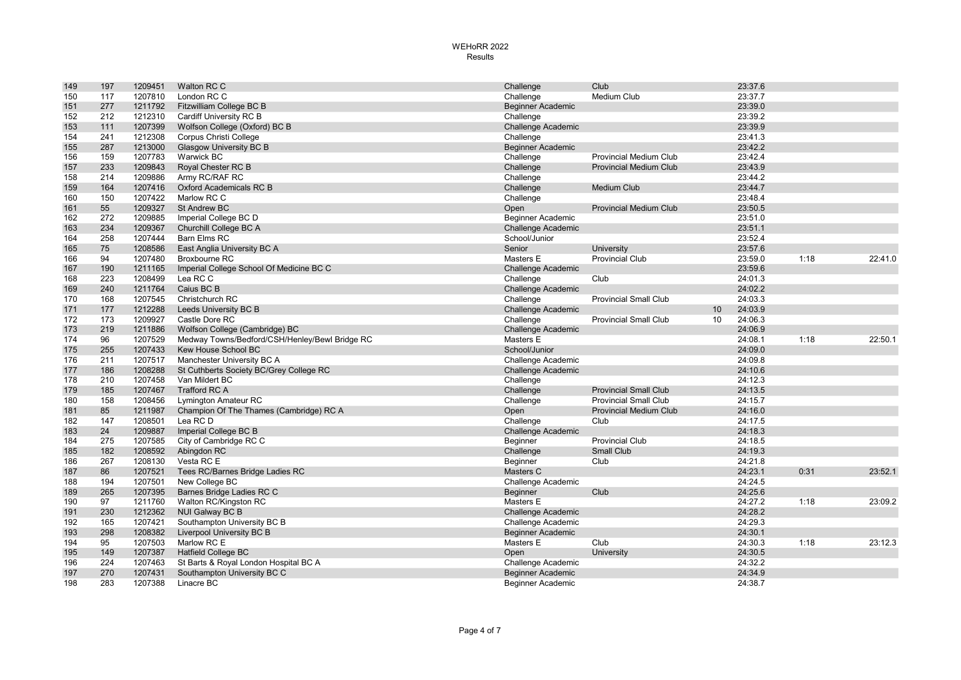| 149 | 197 | 1209451 | Walton RC C                                    | Challenge                 | Club                          |    | 23:37.6 |      |         |
|-----|-----|---------|------------------------------------------------|---------------------------|-------------------------------|----|---------|------|---------|
| 150 | 117 | 1207810 | London RC C                                    | Challenge                 | <b>Medium Club</b>            |    | 23:37.7 |      |         |
| 151 | 277 | 1211792 | Fitzwilliam College BC B                       | <b>Beginner Academic</b>  |                               |    | 23:39.0 |      |         |
| 152 | 212 | 1212310 | Cardiff University RC B                        | Challenge                 |                               |    | 23:39.2 |      |         |
| 153 | 111 | 1207399 | Wolfson College (Oxford) BC B                  | <b>Challenge Academic</b> |                               |    | 23:39.9 |      |         |
| 154 | 241 | 1212308 | Corpus Christi College                         | Challenge                 |                               |    | 23:41.3 |      |         |
| 155 | 287 | 1213000 | <b>Glasgow University BC B</b>                 | <b>Beginner Academic</b>  |                               |    | 23:42.2 |      |         |
| 156 | 159 | 1207783 | Warwick BC                                     | Challenge                 | <b>Provincial Medium Club</b> |    | 23:42.4 |      |         |
| 157 | 233 | 1209843 | Royal Chester RC B                             | Challenge                 | <b>Provincial Medium Club</b> |    | 23:43.9 |      |         |
| 158 | 214 | 1209886 | Army RC/RAF RC                                 | Challenge                 |                               |    | 23:44.2 |      |         |
| 159 | 164 | 1207416 | Oxford Academicals RC B                        | Challenge                 | <b>Medium Club</b>            |    | 23:44.7 |      |         |
| 160 | 150 | 1207422 | Marlow RC C                                    | Challenge                 |                               |    | 23:48.4 |      |         |
| 161 | 55  | 1209327 | <b>St Andrew BC</b>                            | Open                      | <b>Provincial Medium Club</b> |    | 23:50.5 |      |         |
| 162 | 272 | 1209885 | Imperial College BC D                          | Beginner Academic         |                               |    | 23:51.0 |      |         |
| 163 | 234 | 1209367 | Churchill College BC A                         | <b>Challenge Academic</b> |                               |    | 23:51.1 |      |         |
| 164 | 258 | 1207444 | <b>Barn Elms RC</b>                            | School/Junior             |                               |    | 23:52.4 |      |         |
| 165 | 75  | 1208586 | East Anglia University BC A                    | Senior                    | University                    |    | 23:57.6 |      |         |
| 166 | 94  | 1207480 | Broxbourne RC                                  | Masters E                 | <b>Provincial Club</b>        |    | 23:59.0 | 1:18 | 22:41.0 |
| 167 | 190 | 1211165 | Imperial College School Of Medicine BC C       | <b>Challenge Academic</b> |                               |    | 23:59.6 |      |         |
| 168 | 223 | 1208499 | Lea RC C                                       | Challenge                 | Club                          |    | 24:01.3 |      |         |
| 169 | 240 | 1211764 | Caius BC B                                     | <b>Challenge Academic</b> |                               |    | 24:02.2 |      |         |
| 170 | 168 | 1207545 | Christchurch RC                                | Challenge                 | <b>Provincial Small Club</b>  |    | 24:03.3 |      |         |
| 171 | 177 | 1212288 | Leeds University BC B                          | <b>Challenge Academic</b> |                               | 10 | 24:03.9 |      |         |
| 172 | 173 | 1209927 | Castle Dore RC                                 | Challenge                 | <b>Provincial Small Club</b>  | 10 | 24:06.3 |      |         |
| 173 | 219 | 1211886 | Wolfson College (Cambridge) BC                 | <b>Challenge Academic</b> |                               |    | 24:06.9 |      |         |
| 174 | 96  | 1207529 | Medway Towns/Bedford/CSH/Henley/Bewl Bridge RC | Masters E                 |                               |    | 24:08.1 | 1:18 | 22:50.1 |
| 175 | 255 | 1207433 | Kew House School BC                            | School/Junior             |                               |    | 24:09.0 |      |         |
| 176 | 211 | 1207517 | Manchester University BC A                     | Challenge Academic        |                               |    | 24:09.8 |      |         |
| 177 | 186 | 1208288 | St Cuthberts Society BC/Grey College RC        | <b>Challenge Academic</b> |                               |    | 24:10.6 |      |         |
| 178 | 210 | 1207458 | Van Mildert BC                                 | Challenge                 |                               |    | 24:12.3 |      |         |
| 179 | 185 | 1207467 | <b>Trafford RC A</b>                           | Challenge                 | <b>Provincial Small Club</b>  |    | 24:13.5 |      |         |
| 180 | 158 | 1208456 | Lymington Amateur RC                           | Challenge                 | <b>Provincial Small Club</b>  |    | 24:15.7 |      |         |
| 181 | 85  | 1211987 | Champion Of The Thames (Cambridge) RC A        | Open                      | <b>Provincial Medium Club</b> |    | 24:16.0 |      |         |
| 182 | 147 | 1208501 | Lea RC D                                       | Challenge                 | Club                          |    | 24:17.5 |      |         |
| 183 | 24  | 1209887 | Imperial College BC B                          | <b>Challenge Academic</b> |                               |    | 24:18.3 |      |         |
| 184 | 275 | 1207585 | City of Cambridge RC C                         | Beginner                  | <b>Provincial Club</b>        |    | 24:18.5 |      |         |
| 185 | 182 | 1208592 | Abingdon RC                                    | Challenge                 | <b>Small Club</b>             |    | 24:19.3 |      |         |
| 186 | 267 | 1208130 | Vesta RC E                                     | Beginner                  | Club                          |    | 24:21.8 |      |         |
| 187 | 86  | 1207521 | Tees RC/Barnes Bridge Ladies RC                | Masters C                 |                               |    | 24:23.1 | 0:31 | 23:52.1 |
| 188 | 194 | 1207501 | New College BC                                 | Challenge Academic        |                               |    | 24:24.5 |      |         |
| 189 | 265 | 1207395 | Barnes Bridge Ladies RC C                      | Beginner                  | Club                          |    | 24:25.6 |      |         |
| 190 | 97  | 1211760 | Walton RC/Kingston RC                          | Masters E                 |                               |    | 24:27.2 | 1:18 | 23:09.2 |
| 191 | 230 | 1212362 | NUI Galway BC B                                | <b>Challenge Academic</b> |                               |    | 24:28.2 |      |         |
| 192 | 165 | 1207421 | Southampton University BC B                    | Challenge Academic        |                               |    | 24:29.3 |      |         |
| 193 | 298 | 1208382 | Liverpool University BC B                      | Beginner Academic         |                               |    | 24:30.1 |      |         |
| 194 | 95  | 1207503 | Marlow RC E                                    | Masters E                 | Club                          |    | 24:30.3 | 1:18 | 23:12.3 |
| 195 | 149 | 1207387 | <b>Hatfield College BC</b>                     | Open                      | University                    |    | 24:30.5 |      |         |
| 196 | 224 | 1207463 | St Barts & Royal London Hospital BC A          | Challenge Academic        |                               |    | 24:32.2 |      |         |
| 197 | 270 | 1207431 | Southampton University BC C                    | Beginner Academic         |                               |    | 24:34.9 |      |         |
| 198 | 283 | 1207388 | Linacre BC                                     | Beginner Academic         |                               |    | 24:38.7 |      |         |
|     |     |         |                                                |                           |                               |    |         |      |         |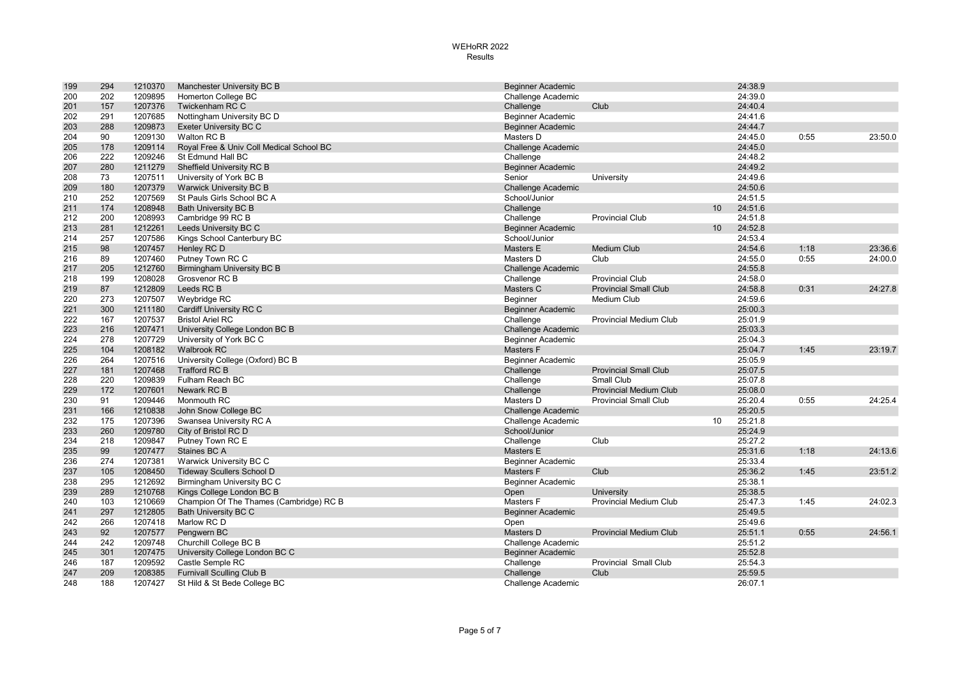| 199 | 294 | 1210370 | Manchester University BC B               | <b>Beginner Academic</b>  |                               |    | 24:38.9 |      |         |
|-----|-----|---------|------------------------------------------|---------------------------|-------------------------------|----|---------|------|---------|
| 200 | 202 | 1209895 | Homerton College BC                      | Challenge Academic        |                               |    | 24:39.0 |      |         |
| 201 | 157 | 1207376 | Twickenham RC C                          | Challenge                 | Club                          |    | 24:40.4 |      |         |
| 202 | 291 | 1207685 | Nottingham University BC D               | Beginner Academic         |                               |    | 24:41.6 |      |         |
| 203 | 288 | 1209873 | Exeter University BC C                   | <b>Beginner Academic</b>  |                               |    | 24:44.7 |      |         |
| 204 | 90  | 1209130 | Walton RC B                              | Masters D                 |                               |    | 24:45.0 | 0:55 | 23:50.0 |
| 205 | 178 | 1209114 | Royal Free & Univ Coll Medical School BC | <b>Challenge Academic</b> |                               |    | 24:45.0 |      |         |
| 206 | 222 | 1209246 | St Edmund Hall BC                        | Challenge                 |                               |    | 24:48.2 |      |         |
| 207 | 280 | 1211279 | Sheffield University RC B                | <b>Beginner Academic</b>  |                               |    | 24:49.2 |      |         |
| 208 | 73  | 1207511 | University of York BC B                  | Senior                    | University                    |    | 24:49.6 |      |         |
| 209 | 180 | 1207379 | Warwick University BC B                  | Challenge Academic        |                               |    | 24:50.6 |      |         |
| 210 | 252 | 1207569 | St Pauls Girls School BC A               | School/Junior             |                               |    | 24:51.5 |      |         |
| 211 | 174 | 1208948 | <b>Bath University BC B</b>              | Challenge                 |                               | 10 | 24:51.6 |      |         |
| 212 | 200 | 1208993 | Cambridge 99 RC B                        | Challenge                 | <b>Provincial Club</b>        |    | 24:51.8 |      |         |
| 213 | 281 | 1212261 | Leeds University BC C                    | <b>Beginner Academic</b>  |                               | 10 | 24:52.8 |      |         |
| 214 | 257 | 1207586 | Kings School Canterbury BC               | School/Junior             |                               |    | 24:53.4 |      |         |
| 215 | 98  | 1207457 | Henley RC D                              | Masters E                 | <b>Medium Club</b>            |    | 24:54.6 | 1:18 | 23:36.6 |
| 216 | 89  | 1207460 | Putney Town RC C                         | Masters D                 | Club                          |    | 24:55.0 | 0:55 | 24:00.0 |
| 217 | 205 | 1212760 | <b>Birmingham University BC B</b>        | <b>Challenge Academic</b> |                               |    | 24:55.8 |      |         |
| 218 | 199 | 1208028 | Grosvenor RC B                           | Challenge                 | <b>Provincial Club</b>        |    | 24:58.0 |      |         |
| 219 | 87  | 1212809 | Leeds RC B                               | Masters C                 | <b>Provincial Small Club</b>  |    | 24:58.8 | 0:31 | 24:27.8 |
| 220 | 273 | 1207507 | Weybridge RC                             | Beginner                  | Medium Club                   |    | 24:59.6 |      |         |
| 221 | 300 | 1211180 | Cardiff University RC C                  | <b>Beginner Academic</b>  |                               |    | 25:00.3 |      |         |
| 222 | 167 | 1207537 | <b>Bristol Ariel RC</b>                  | Challenge                 | Provincial Medium Club        |    | 25:01.9 |      |         |
| 223 | 216 | 1207471 | University College London BC B           | <b>Challenge Academic</b> |                               |    | 25:03.3 |      |         |
| 224 | 278 | 1207729 | University of York BC C                  | <b>Beginner Academic</b>  |                               |    | 25:04.3 |      |         |
| 225 | 104 | 1208182 | <b>Walbrook RC</b>                       | Masters F                 |                               |    | 25:04.7 | 1:45 | 23:19.7 |
| 226 | 264 | 1207516 | University College (Oxford) BC B         | <b>Beginner Academic</b>  |                               |    | 25:05.9 |      |         |
| 227 | 181 | 1207468 | <b>Trafford RC B</b>                     | Challenge                 | <b>Provincial Small Club</b>  |    | 25:07.5 |      |         |
| 228 | 220 | 1209839 | Fulham Reach BC                          | Challenge                 | Small Club                    |    | 25:07.8 |      |         |
| 229 | 172 | 1207601 | Newark RC B                              | Challenge                 | <b>Provincial Medium Club</b> |    | 25:08.0 |      |         |
| 230 | 91  | 1209446 | Monmouth RC                              | Masters D                 | <b>Provincial Small Club</b>  |    | 25:20.4 | 0:55 | 24:25.4 |
| 231 | 166 | 1210838 | John Snow College BC                     | <b>Challenge Academic</b> |                               |    | 25:20.5 |      |         |
| 232 | 175 | 1207396 | Swansea University RC A                  | Challenge Academic        |                               | 10 | 25:21.8 |      |         |
| 233 | 260 | 1209780 | City of Bristol RC D                     | School/Junior             |                               |    | 25:24.9 |      |         |
| 234 | 218 | 1209847 | Putney Town RC E                         | Challenge                 | Club                          |    | 25:27.2 |      |         |
| 235 | 99  | 1207477 | Staines BC A                             | Masters E                 |                               |    | 25:31.6 | 1:18 | 24:13.6 |
| 236 | 274 | 1207381 | Warwick University BC C                  | Beginner Academic         |                               |    | 25:33.4 |      |         |
| 237 | 105 | 1208450 | <b>Tideway Scullers School D</b>         | Masters F                 | Club                          |    | 25:36.2 | 1:45 | 23:51.2 |
| 238 | 295 | 1212692 | Birmingham University BC C               | Beginner Academic         |                               |    | 25:38.1 |      |         |
| 239 | 289 | 1210768 | Kings College London BC B                | Open                      | University                    |    | 25:38.5 |      |         |
| 240 | 103 | 1210669 | Champion Of The Thames (Cambridge) RC B  | Masters F                 | <b>Provincial Medium Club</b> |    | 25:47.3 | 1:45 | 24:02.3 |
| 241 | 297 | 1212805 | <b>Bath University BC C</b>              | Beginner Academic         |                               |    | 25:49.5 |      |         |
| 242 | 266 | 1207418 | Marlow RC D                              | Open                      |                               |    | 25:49.6 |      |         |
| 243 | 92  | 1207577 | Pengwern BC                              | Masters D                 | <b>Provincial Medium Club</b> |    | 25:51.1 | 0:55 | 24:56.1 |
| 244 | 242 | 1209748 | Churchill College BC B                   | Challenge Academic        |                               |    | 25:51.2 |      |         |
| 245 | 301 | 1207475 | University College London BC C           | <b>Beginner Academic</b>  |                               |    | 25:52.8 |      |         |
| 246 | 187 | 1209592 | Castle Semple RC                         | Challenge                 | Provincial Small Club         |    | 25:54.3 |      |         |
| 247 | 209 | 1208385 | <b>Furnivall Sculling Club B</b>         | Challenge                 | Club                          |    | 25:59.5 |      |         |
| 248 | 188 | 1207427 | St Hild & St Bede College BC             | Challenge Academic        |                               |    | 26:07.1 |      |         |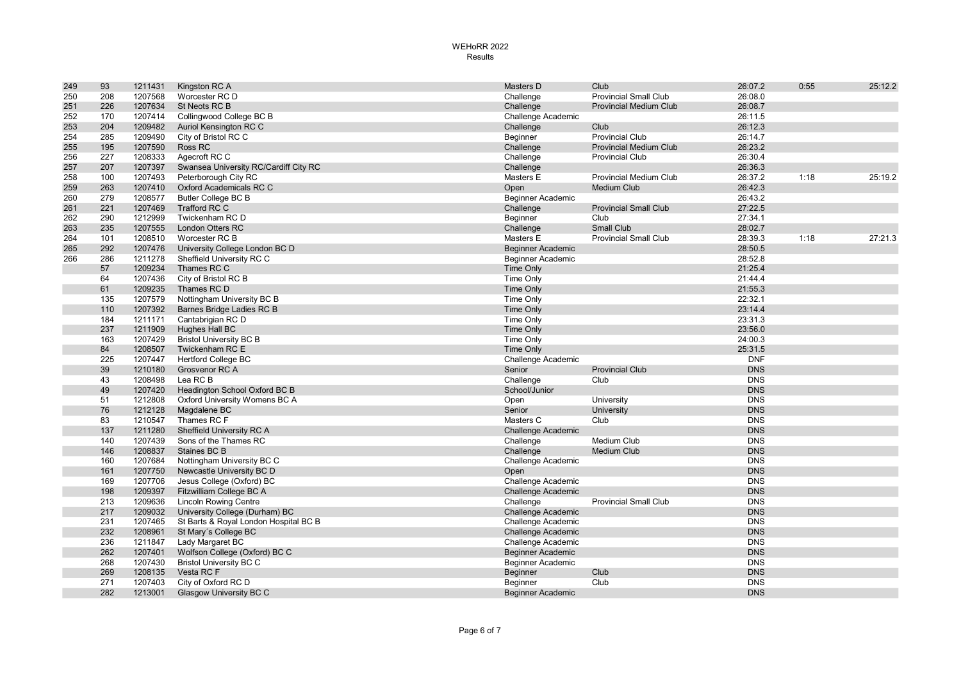| 249 | 93         | 1211431            | Kingston RC A                               | Masters D                 | Club                          | 26:07.2    | 0:55 | 25:12.2 |
|-----|------------|--------------------|---------------------------------------------|---------------------------|-------------------------------|------------|------|---------|
| 250 | 208        | 1207568            | Worcester RC D                              | Challenge                 | <b>Provincial Small Club</b>  | 26:08.0    |      |         |
| 251 | 226        | 1207634            | St Neots RC B                               | Challenge                 | <b>Provincial Medium Club</b> | 26:08.7    |      |         |
| 252 | 170        | 1207414            | Collingwood College BC B                    | Challenge Academic        |                               | 26:11.5    |      |         |
| 253 | 204        | 1209482            | Auriol Kensington RC C                      | Challenge                 | Club                          | 26:12.3    |      |         |
| 254 | 285        | 1209490            | City of Bristol RC C                        | Beginner                  | <b>Provincial Club</b>        | 26:14.7    |      |         |
| 255 | 195        | 1207590            | Ross RC                                     | Challenge                 | <b>Provincial Medium Club</b> | 26:23.2    |      |         |
| 256 | 227        | 1208333            | Agecroft RC C                               | Challenge                 | <b>Provincial Club</b>        | 26:30.4    |      |         |
| 257 | 207        | 1207397            | Swansea University RC/Cardiff City RC       | Challenge                 |                               | 26:36.3    |      |         |
| 258 | 100        | 1207493            | Peterborough City RC                        | Masters E                 | Provincial Medium Club        | 26:37.2    | 1:18 | 25:19.2 |
| 259 | 263        | 1207410            | Oxford Academicals RC C                     | Open                      | <b>Medium Club</b>            | 26:42.3    |      |         |
| 260 | 279        | 1208577            | <b>Butler College BC B</b>                  | <b>Beginner Academic</b>  |                               | 26:43.2    |      |         |
| 261 | 221        | 1207469            | <b>Trafford RC C</b>                        | Challenge                 | <b>Provincial Small Club</b>  | 27:22.5    |      |         |
| 262 | 290        | 1212999            | Twickenham RC D                             | Beginner                  | Club                          | 27:34.1    |      |         |
| 263 | 235        | 1207555            | <b>London Otters RC</b>                     | Challenge                 | <b>Small Club</b>             | 28:02.7    |      |         |
| 264 | 101        | 1208510            | Worcester RC B                              | Masters E                 | <b>Provincial Small Club</b>  | 28:39.3    | 1:18 | 27:21.3 |
| 265 | 292        | 1207476            | University College London BC D              | <b>Beginner Academic</b>  |                               | 28:50.5    |      |         |
| 266 | 286        | 1211278            | Sheffield University RC C                   | <b>Beginner Academic</b>  |                               | 28:52.8    |      |         |
|     | 57         | 1209234            | Thames RC C                                 | Time Only                 |                               | 21:25.4    |      |         |
|     | 64         | 1207436            | City of Bristol RC B                        | <b>Time Only</b>          |                               | 21:44.4    |      |         |
|     | 61         | 1209235            | Thames RC D                                 | <b>Time Only</b>          |                               | 21:55.3    |      |         |
|     | 135        | 1207579            | Nottingham University BC B                  | Time Only                 |                               | 22:32.1    |      |         |
|     | 110        | 1207392            | Barnes Bridge Ladies RC B                   | <b>Time Only</b>          |                               | 23:14.4    |      |         |
|     | 184        | 1211171            | Cantabrigian RC D                           | Time Only                 |                               | 23:31.3    |      |         |
|     | 237        | 1211909            | Hughes Hall BC                              | Time Only                 |                               | 23:56.0    |      |         |
|     | 163        | 1207429            | <b>Bristol University BC B</b>              | Time Only                 |                               | 24:00.3    |      |         |
|     | 84         | 1208507            | Twickenham RC E                             | Time Only                 |                               | 25:31.5    |      |         |
|     | 225        | 1207447            | <b>Hertford College BC</b>                  | Challenge Academic        |                               | <b>DNF</b> |      |         |
|     | 39         | 1210180            | Grosvenor RC A                              | Senior                    | <b>Provincial Club</b>        | <b>DNS</b> |      |         |
|     | 43         | 1208498            | Lea RC B                                    | Challenge                 | Club                          | <b>DNS</b> |      |         |
|     | 49         | 1207420            | Headington School Oxford BC B               | School/Junior             |                               | <b>DNS</b> |      |         |
|     | 51         | 1212808            | Oxford University Womens BC A               | Open                      | University                    | <b>DNS</b> |      |         |
|     | 76         | 1212128            | Magdalene BC                                | Senior                    | University                    | <b>DNS</b> |      |         |
|     | 83         | 1210547            | Thames RC F                                 | Masters C                 | Club                          | <b>DNS</b> |      |         |
|     | 137        | 1211280            | Sheffield University RC A                   | <b>Challenge Academic</b> |                               | <b>DNS</b> |      |         |
|     | 140        | 1207439            | Sons of the Thames RC                       | Challenge                 | <b>Medium Club</b>            | <b>DNS</b> |      |         |
|     | 146        | 1208837            | Staines BC B                                | Challenge                 | <b>Medium Club</b>            | <b>DNS</b> |      |         |
|     | 160        | 1207684            | Nottingham University BC C                  | Challenge Academic        |                               | <b>DNS</b> |      |         |
|     | 161        | 1207750            | Newcastle University BC D                   | Open                      |                               | <b>DNS</b> |      |         |
|     | 169        | 1207706            | Jesus College (Oxford) BC                   | Challenge Academic        |                               | <b>DNS</b> |      |         |
|     | 198        | 1209397            | Fitzwilliam College BC A                    | <b>Challenge Academic</b> |                               | <b>DNS</b> |      |         |
|     | 213        | 1209636            | <b>Lincoln Rowing Centre</b>                | Challenge                 | <b>Provincial Small Club</b>  | <b>DNS</b> |      |         |
|     | 217        | 1209032            | University College (Durham) BC              | <b>Challenge Academic</b> |                               | <b>DNS</b> |      |         |
|     | 231        | 1207465            | St Barts & Royal London Hospital BC B       | Challenge Academic        |                               | <b>DNS</b> |      |         |
|     | 232        | 1208961            | St Mary's College BC                        | <b>Challenge Academic</b> |                               | <b>DNS</b> |      |         |
|     | 236        | 1211847            | Lady Margaret BC                            | Challenge Academic        |                               | <b>DNS</b> |      |         |
|     | 262        | 1207401            |                                             |                           |                               | <b>DNS</b> |      |         |
|     |            |                    | Wolfson College (Oxford) BC C               | <b>Beginner Academic</b>  |                               | <b>DNS</b> |      |         |
|     | 268<br>269 | 1207430<br>1208135 | <b>Bristol University BC C</b><br>Vesta RCF | <b>Beginner Academic</b>  | Club                          | <b>DNS</b> |      |         |
|     |            |                    |                                             | Beginner                  |                               |            |      |         |
|     | 271        | 1207403            | City of Oxford RC D                         | Beginner                  | Club                          | <b>DNS</b> |      |         |
|     | 282        | 1213001            | Glasgow University BC C                     | <b>Beginner Academic</b>  |                               | <b>DNS</b> |      |         |